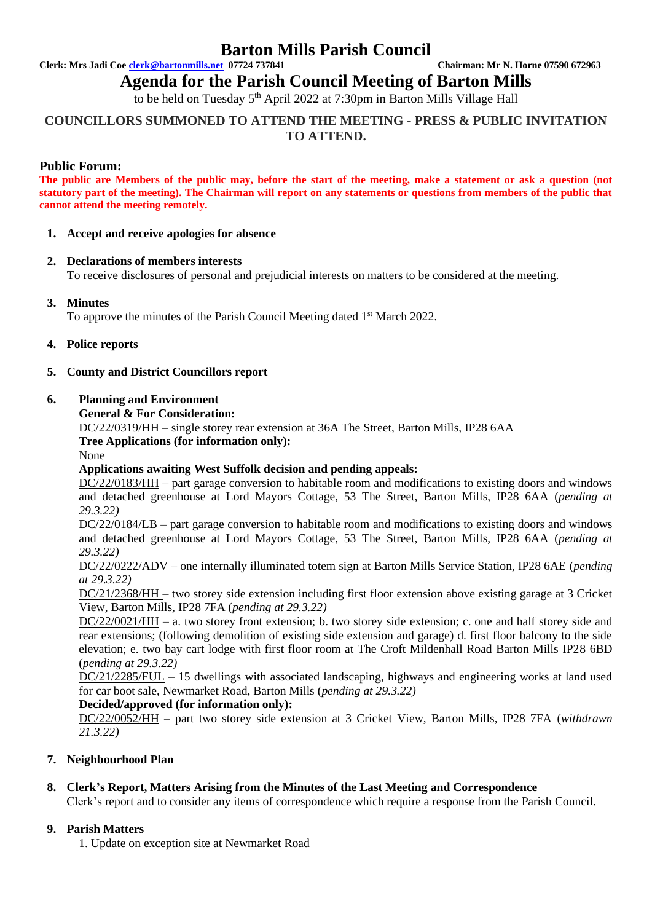## **Barton Mills Parish Council**

**Clerk: Mrs Jadi Coe [clerk@bartonmills.net](mailto:clerk@bartonmills.net) 07724 737841 Chairman: Mr N. Horne 07590 672963**

**Agenda for the Parish Council Meeting of Barton Mills** 

to be held on <u>Tuesday 5<sup>th</sup> April 2022</u> at 7:30pm in Barton Mills Village Hall

## **COUNCILLORS SUMMONED TO ATTEND THE MEETING - PRESS & PUBLIC INVITATION TO ATTEND.**

## **Public Forum:**

**The public are Members of the public may, before the start of the meeting, make a statement or ask a question (not statutory part of the meeting). The Chairman will report on any statements or questions from members of the public that cannot attend the meeting remotely.**

#### **1. Accept and receive apologies for absence**

#### **2. Declarations of members interests**

To receive disclosures of personal and prejudicial interests on matters to be considered at the meeting.

## **3. Minutes**

To approve the minutes of the Parish Council Meeting dated 1<sup>st</sup> March 2022.

#### **4. Police reports**

#### **5. County and District Councillors report**

#### **6. Planning and Environment**

**General & For Consideration:**

DC/22/0319/HH – single storey rear extension at 36A The Street, Barton Mills, IP28 6AA

## **Tree Applications (for information only):**

None

## **Applications awaiting West Suffolk decision and pending appeals:**

DC/22/0183/HH – part garage conversion to habitable room and modifications to existing doors and windows and detached greenhouse at Lord Mayors Cottage, 53 The Street, Barton Mills, IP28 6AA (*pending at 29.3.22)*

DC/22/0184/LB – part garage conversion to habitable room and modifications to existing doors and windows and detached greenhouse at Lord Mayors Cottage, 53 The Street, Barton Mills, IP28 6AA (*pending at 29.3.22)*

DC/22/0222/ADV – one internally illuminated totem sign at Barton Mills Service Station, IP28 6AE (*pending at 29.3.22)*

DC/21/2368/HH – two storey side extension including first floor extension above existing garage at 3 Cricket View, Barton Mills, IP28 7FA (*pending at 29.3.22)*

DC/22/0021/HH – a. two storey front extension; b. two storey side extension; c. one and half storey side and rear extensions; (following demolition of existing side extension and garage) d. first floor balcony to the side elevation; e. two bay cart lodge with first floor room at The Croft Mildenhall Road Barton Mills IP28 6BD (*pending at 29.3.22)*

DC/21/2285/FUL – 15 dwellings with associated landscaping, highways and engineering works at land used for car boot sale, Newmarket Road, Barton Mills (*pending at 29.3.22)*

#### **Decided/approved (for information only):**

DC/22/0052/HH – part two storey side extension at 3 Cricket View, Barton Mills, IP28 7FA (*withdrawn 21.3.22)*

## **7. Neighbourhood Plan**

## **8. Clerk's Report, Matters Arising from the Minutes of the Last Meeting and Correspondence**

Clerk's report and to consider any items of correspondence which require a response from the Parish Council.

## **9. Parish Matters**

1. Update on exception site at Newmarket Road